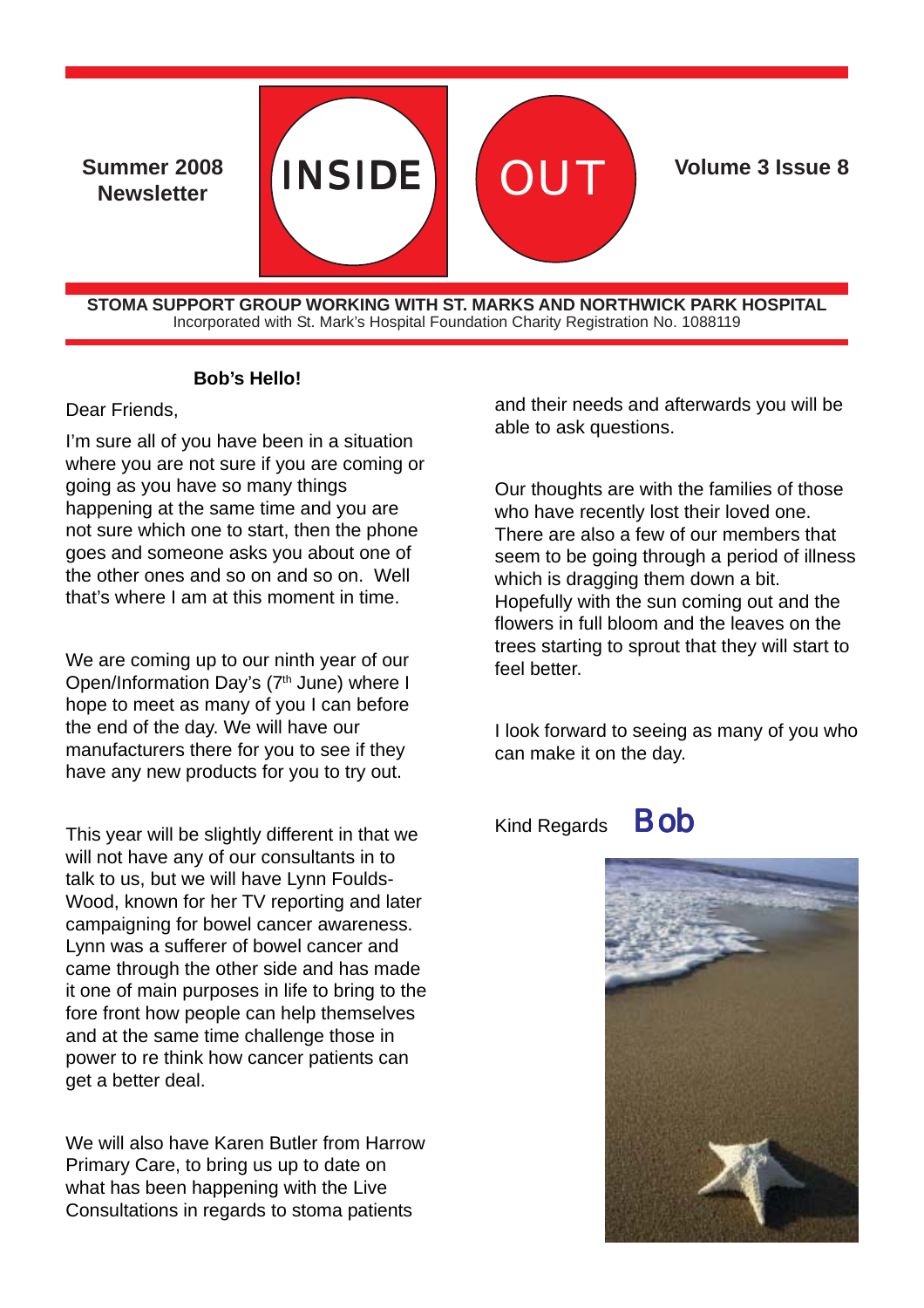Summer 2008 **INSIDE Newsletter**



**Volume 3 Issue 8** 

**STOMA SUPPORT GROUP WORKING WITH ST. MARKS AND NORTHWICK PARK HOSPITAL** Incorporated with St. Mark's Hospital Foundation Charity Registration No. 1088119

#### **Bob's Hello!**

#### Dear Friends,

I'm sure all of you have been in a situation where you are not sure if you are coming or going as you have so many things happening at the same time and you are not sure which one to start, then the phone goes and someone asks you about one of the other ones and so on and so on. Well that's where I am at this moment in time.

We are coming up to our ninth year of our Open/Information Day's (7<sup>th</sup> June) where I hope to meet as many of you I can before the end of the day. We will have our manufacturers there for you to see if they have any new products for you to try out.

This year will be slightly different in that we will not have any of our consultants in to talk to us, but we will have Lynn Foulds-Wood, known for her TV reporting and later campaigning for bowel cancer awareness. Lynn was a sufferer of bowel cancer and came through the other side and has made it one of main purposes in life to bring to the fore front how people can help themselves and at the same time challenge those in power to re think how cancer patients can get a better deal.

We will also have Karen Butler from Harrow Primary Care, to bring us up to date on what has been happening with the Live Consultations in regards to stoma patients

and their needs and afterwards you will be able to ask questions.

Our thoughts are with the families of those who have recently lost their loved one. There are also a few of our members that seem to be going through a period of illness which is dragging them down a bit. Hopefully with the sun coming out and the flowers in full bloom and the leaves on the trees starting to sprout that they will start to feel better.

I look forward to seeing as many of you who can make it on the day.

Kind Regards **Bob** 



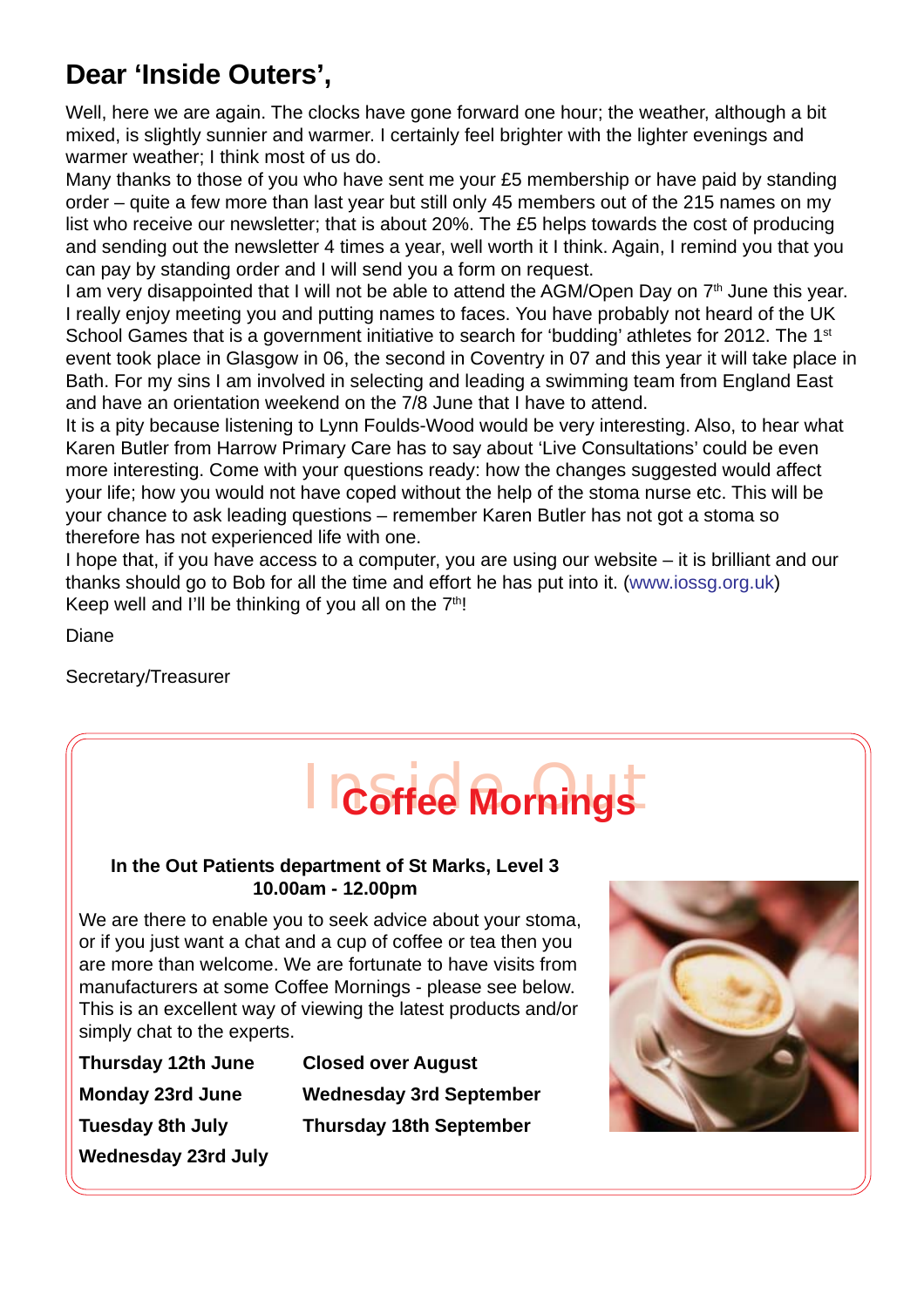# **Dear 'Inside Outers',**

Well, here we are again. The clocks have gone forward one hour; the weather, although a bit mixed, is slightly sunnier and warmer. I certainly feel brighter with the lighter evenings and warmer weather; I think most of us do.

Many thanks to those of you who have sent me your £5 membership or have paid by standing order – quite a few more than last year but still only 45 members out of the 215 names on my list who receive our newsletter; that is about 20%. The £5 helps towards the cost of producing and sending out the newsletter 4 times a year, well worth it I think. Again, I remind you that you can pay by standing order and I will send you a form on request.

I am very disappointed that I will not be able to attend the AGM/Open Day on  $7<sup>th</sup>$  June this year. I really enjoy meeting you and putting names to faces. You have probably not heard of the UK School Games that is a government initiative to search for 'budding' athletes for 2012. The 1<sup>st</sup> event took place in Glasgow in 06, the second in Coventry in 07 and this year it will take place in Bath. For my sins I am involved in selecting and leading a swimming team from England East and have an orientation weekend on the 7/8 June that I have to attend.

It is a pity because listening to Lynn Foulds-Wood would be very interesting. Also, to hear what Karen Butler from Harrow Primary Care has to say about 'Live Consultations' could be even more interesting. Come with your questions ready: how the changes suggested would affect your life; how you would not have coped without the help of the stoma nurse etc. This will be your chance to ask leading questions – remember Karen Butler has not got a stoma so therefore has not experienced life with one.

I hope that, if you have access to a computer, you are using our website – it is brilliant and our thanks should go to Bob for all the time and effort he has put into it. (www.iossg.org.uk) Keep well and I'll be thinking of you all on the  $7<sup>th</sup>$ !

Diane

Secretary/Treasurer



#### **In the Out Patients department of St Marks, Level 3 10.00am - 12.00pm**

We are there to enable you to seek advice about your stoma, or if you just want a chat and a cup of coffee or tea then you are more than welcome. We are fortunate to have visits from manufacturers at some Coffee Mornings - please see below. This is an excellent way of viewing the latest products and/or simply chat to the experts.

| Thursday 12th June  | <b>Closed over August</b>      |
|---------------------|--------------------------------|
| Monday 23rd June    | <b>Wednesday 3rd September</b> |
| Tuesday 8th July    | <b>Thursday 18th September</b> |
| Wednesday 23rd July |                                |

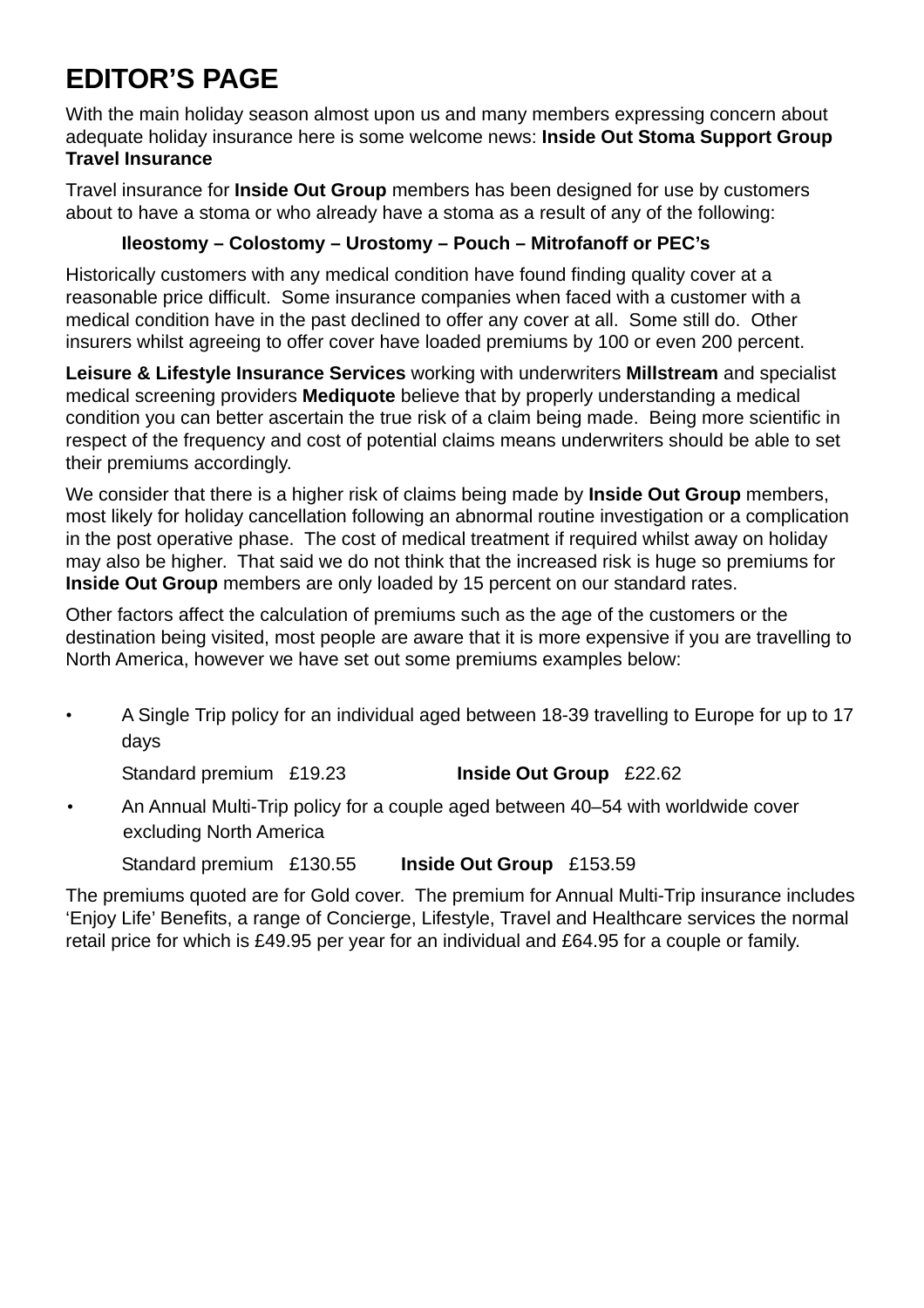# **EDITOR'S PAGE**

With the main holiday season almost upon us and many members expressing concern about adequate holiday insurance here is some welcome news: **Inside Out Stoma Support Group Travel Insurance**

Travel insurance for **Inside Out Group** members has been designed for use by customers about to have a stoma or who already have a stoma as a result of any of the following:

# **Ileostomy – Colostomy – Urostomy – Pouch – Mitrofanoff or PEC's**

Historically customers with any medical condition have found finding quality cover at a reasonable price difficult. Some insurance companies when faced with a customer with a medical condition have in the past declined to offer any cover at all. Some still do. Other insurers whilst agreeing to offer cover have loaded premiums by 100 or even 200 percent.

**Leisure & Lifestyle Insurance Services** working with underwriters **Millstream** and specialist medical screening providers **Mediquote** believe that by properly understanding a medical condition you can better ascertain the true risk of a claim being made. Being more scientific in respect of the frequency and cost of potential claims means underwriters should be able to set their premiums accordingly.

We consider that there is a higher risk of claims being made by **Inside Out Group** members, most likely for holiday cancellation following an abnormal routine investigation or a complication in the post operative phase. The cost of medical treatment if required whilst away on holiday may also be higher. That said we do not think that the increased risk is huge so premiums for **Inside Out Group** members are only loaded by 15 percent on our standard rates.

Other factors affect the calculation of premiums such as the age of the customers or the destination being visited, most people are aware that it is more expensive if you are travelling to North America, however we have set out some premiums examples below:

• A Single Trip policy for an individual aged between 18-39 travelling to Europe for up to 17 days

Standard premium £19.23 **Inside Out Group** £22.62

• An Annual Multi-Trip policy for a couple aged between 40–54 with worldwide cover excluding North America

Standard premium £130.55 **Inside Out Group** £153.59

The premiums quoted are for Gold cover. The premium for Annual Multi-Trip insurance includes 'Enjoy Life' Benefits, a range of Concierge, Lifestyle, Travel and Healthcare services the normal retail price for which is £49.95 per year for an individual and £64.95 for a couple or family.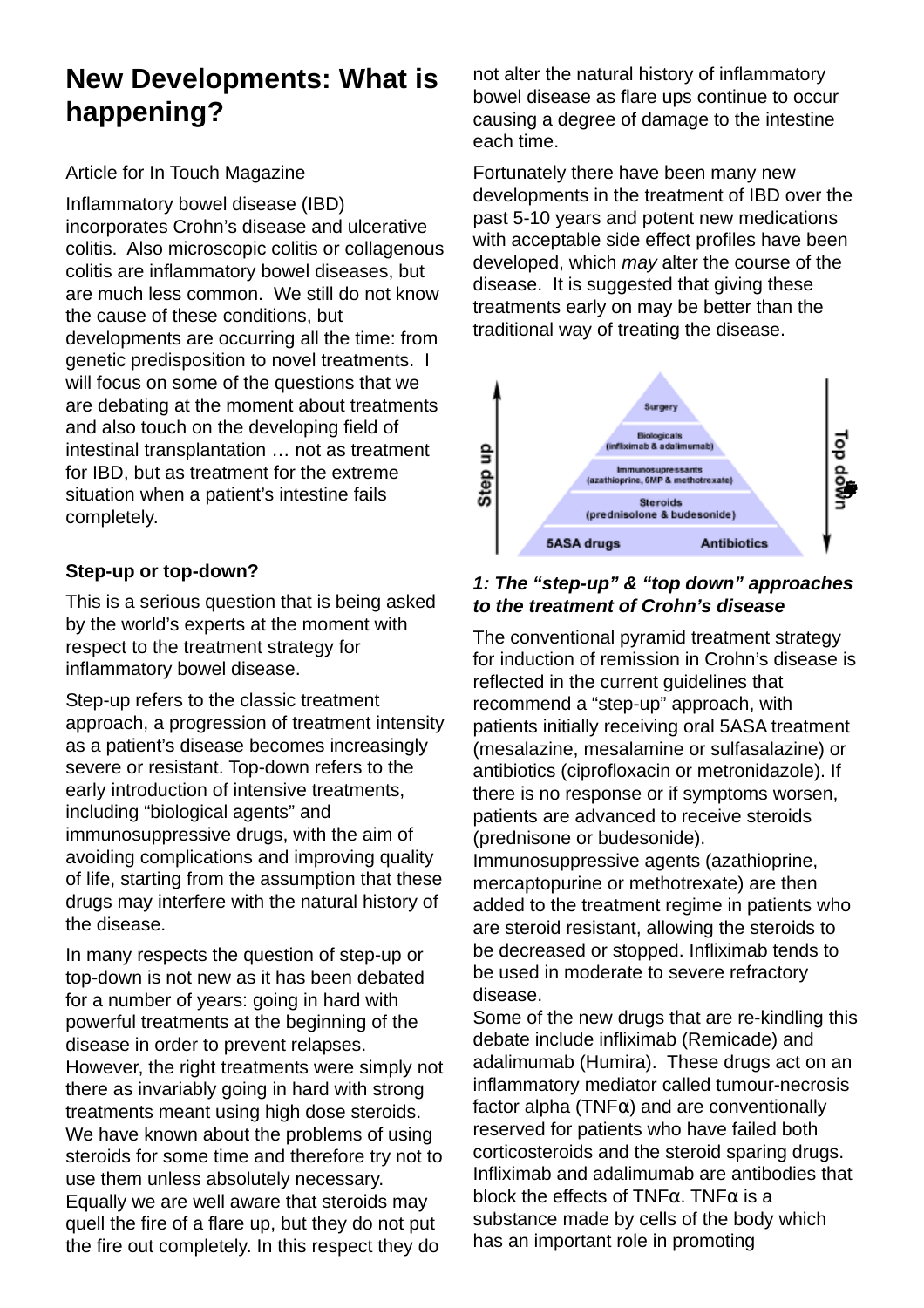# **New Developments: What is happening?**

## Article for In Touch Magazine

Inflammatory bowel disease (IBD) incorporates Crohn's disease and ulcerative colitis. Also microscopic colitis or collagenous colitis are inflammatory bowel diseases, but are much less common. We still do not know the cause of these conditions, but developments are occurring all the time: from genetic predisposition to novel treatments. I will focus on some of the questions that we are debating at the moment about treatments and also touch on the developing field of intestinal transplantation … not as treatment for IBD, but as treatment for the extreme situation when a patient's intestine fails completely.

## **Step-up or top-down?**

This is a serious question that is being asked by the world's experts at the moment with respect to the treatment strategy for inflammatory bowel disease.

Step-up refers to the classic treatment approach, a progression of treatment intensity as a patient's disease becomes increasingly severe or resistant. Top-down refers to the early introduction of intensive treatments, including "biological agents" and immunosuppressive drugs, with the aim of avoiding complications and improving quality of life, starting from the assumption that these drugs may interfere with the natural history of the disease.

In many respects the question of step-up or top-down is not new as it has been debated for a number of years: going in hard with powerful treatments at the beginning of the disease in order to prevent relapses. However, the right treatments were simply not there as invariably going in hard with strong treatments meant using high dose steroids. We have known about the problems of using steroids for some time and therefore try not to use them unless absolutely necessary. Equally we are well aware that steroids may quell the fire of a flare up, but they do not put the fire out completely. In this respect they do

not alter the natural history of inflammatory bowel disease as flare ups continue to occur causing a degree of damage to the intestine each time.

Fortunately there have been many new developments in the treatment of IBD over the past 5-10 years and potent new medications with acceptable side effect profiles have been developed, which *may* alter the course of the disease. It is suggested that giving these treatments early on may be better than the traditional way of treating the disease.



#### *1: The "step-up" & "top down" approaches to the treatment of Crohn's disease*

The conventional pyramid treatment strategy for induction of remission in Crohn's disease is reflected in the current guidelines that recommend a "step-up" approach, with patients initially receiving oral 5ASA treatment (mesalazine, mesalamine or sulfasalazine) or antibiotics (ciprofloxacin or metronidazole). If there is no response or if symptoms worsen, patients are advanced to receive steroids (prednisone or budesonide).

Immunosuppressive agents (azathioprine, mercaptopurine or methotrexate) are then added to the treatment regime in patients who are steroid resistant, allowing the steroids to be decreased or stopped. Infliximab tends to be used in moderate to severe refractory disease.

Some of the new drugs that are re-kindling this debate include infliximab (Remicade) and adalimumab (Humira). These drugs act on an inflammatory mediator called tumour-necrosis factor alpha ( $TNF\alpha$ ) and are conventionally reserved for patients who have failed both corticosteroids and the steroid sparing drugs. Infliximab and adalimumab are antibodies that block the effects of TNF $\alpha$ . TNF $\alpha$  is a substance made by cells of the body which has an important role in promoting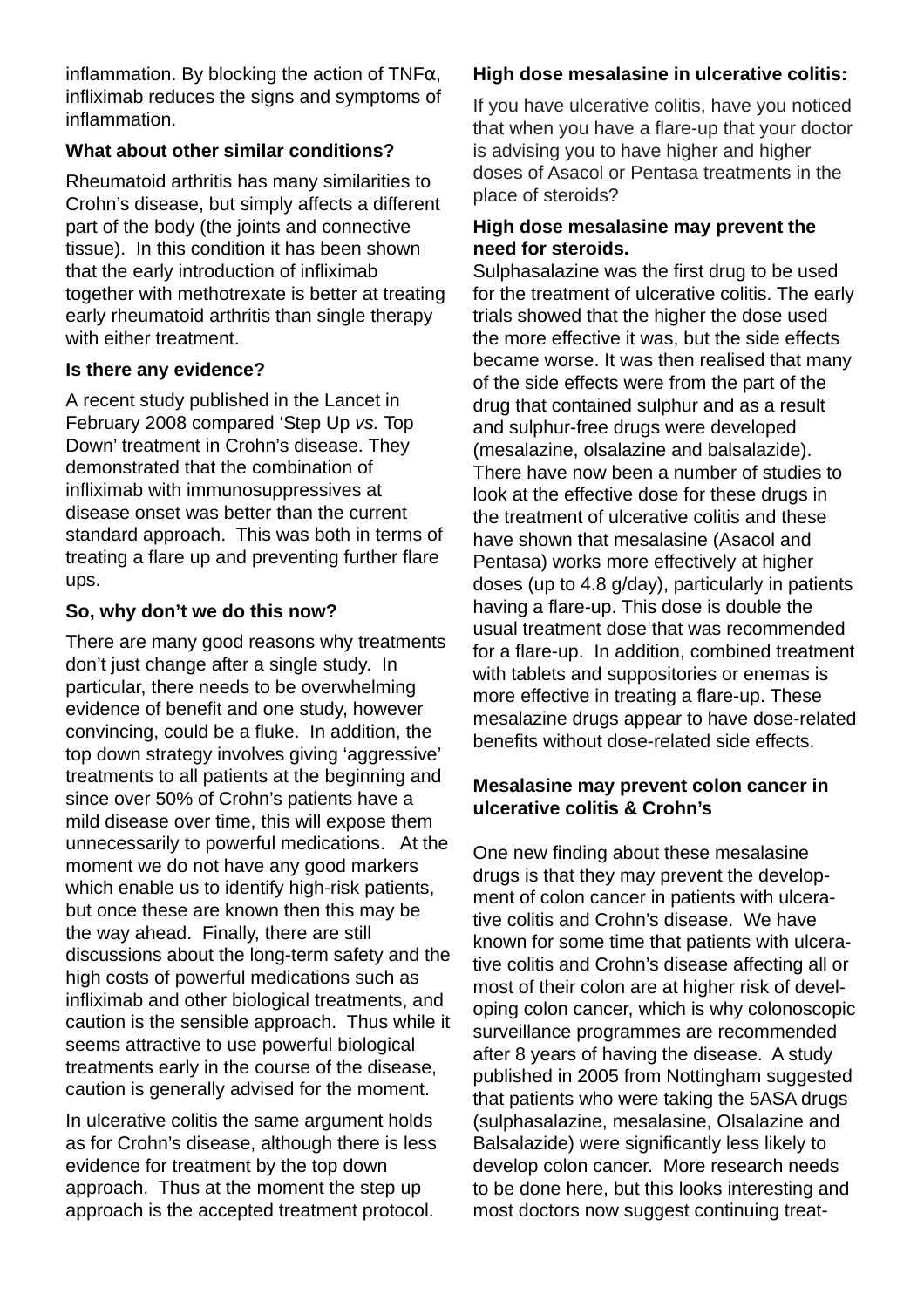inflammation. By blocking the action of TNF $\alpha$ , infliximab reduces the signs and symptoms of inflammation.

#### **What about other similar conditions?**

Rheumatoid arthritis has many similarities to Crohn's disease, but simply affects a different part of the body (the joints and connective tissue). In this condition it has been shown that the early introduction of infliximab together with methotrexate is better at treating early rheumatoid arthritis than single therapy with either treatment.

#### **Is there any evidence?**

A recent study published in the Lancet in February 2008 compared 'Step Up *vs.* Top Down' treatment in Crohn's disease. They demonstrated that the combination of infliximab with immunosuppressives at disease onset was better than the current standard approach. This was both in terms of treating a flare up and preventing further flare ups.

#### **So, why don't we do this now?**

There are many good reasons why treatments don't just change after a single study. In particular, there needs to be overwhelming evidence of benefit and one study, however convincing, could be a fluke. In addition, the top down strategy involves giving 'aggressive' treatments to all patients at the beginning and since over 50% of Crohn's patients have a mild disease over time, this will expose them unnecessarily to powerful medications. At the moment we do not have any good markers which enable us to identify high-risk patients, but once these are known then this may be the way ahead. Finally, there are still discussions about the long-term safety and the high costs of powerful medications such as infliximab and other biological treatments, and caution is the sensible approach. Thus while it seems attractive to use powerful biological treatments early in the course of the disease, caution is generally advised for the moment.

In ulcerative colitis the same argument holds as for Crohn's disease, although there is less evidence for treatment by the top down approach. Thus at the moment the step up approach is the accepted treatment protocol.

# **High dose mesalasine in ulcerative colitis:**

If you have ulcerative colitis, have you noticed that when you have a flare-up that your doctor is advising you to have higher and higher doses of Asacol or Pentasa treatments in the place of steroids?

## **High dose mesalasine may prevent the need for steroids.**

Sulphasalazine was the first drug to be used for the treatment of ulcerative colitis. The early trials showed that the higher the dose used the more effective it was, but the side effects became worse. It was then realised that many of the side effects were from the part of the drug that contained sulphur and as a result and sulphur-free drugs were developed (mesalazine, olsalazine and balsalazide). There have now been a number of studies to look at the effective dose for these drugs in the treatment of ulcerative colitis and these have shown that mesalasine (Asacol and Pentasa) works more effectively at higher doses (up to 4.8 g/day), particularly in patients having a flare-up. This dose is double the usual treatment dose that was recommended for a flare-up. In addition, combined treatment with tablets and suppositories or enemas is more effective in treating a flare-up. These mesalazine drugs appear to have dose-related benefits without dose-related side effects.

## **Mesalasine may prevent colon cancer in ulcerative colitis & Crohn's**

One new finding about these mesalasine drugs is that they may prevent the development of colon cancer in patients with ulcerative colitis and Crohn's disease. We have known for some time that patients with ulcerative colitis and Crohn's disease affecting all or most of their colon are at higher risk of developing colon cancer, which is why colonoscopic surveillance programmes are recommended after 8 years of having the disease. A study published in 2005 from Nottingham suggested that patients who were taking the 5ASA drugs (sulphasalazine, mesalasine, Olsalazine and Balsalazide) were significantly less likely to develop colon cancer. More research needs to be done here, but this looks interesting and most doctors now suggest continuing treat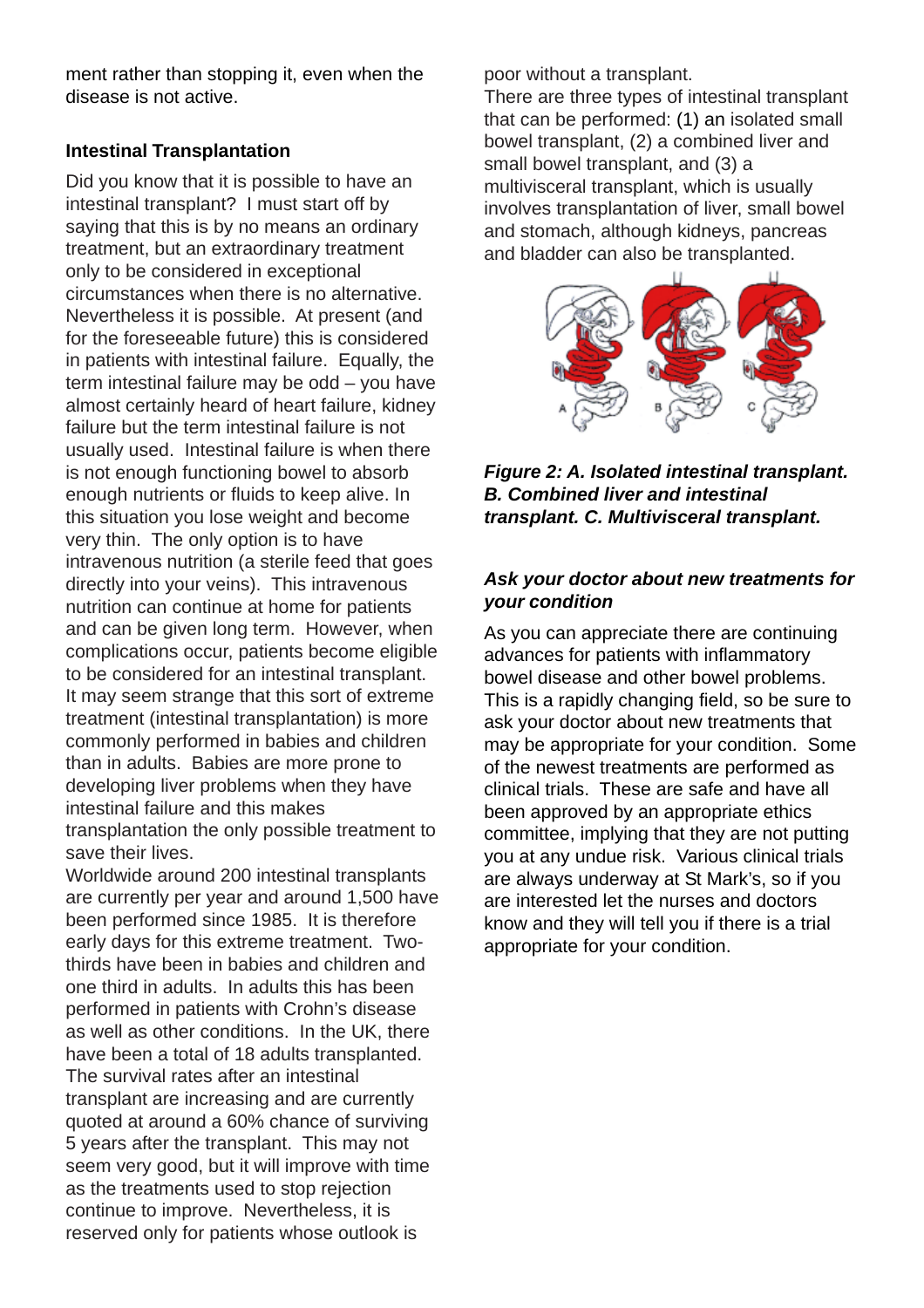ment rather than stopping it, even when the disease is not active.

#### **Intestinal Transplantation**

Did you know that it is possible to have an intestinal transplant? I must start off by saying that this is by no means an ordinary treatment, but an extraordinary treatment only to be considered in exceptional circumstances when there is no alternative. Nevertheless it is possible. At present (and for the foreseeable future) this is considered in patients with intestinal failure. Equally, the term intestinal failure may be odd – you have almost certainly heard of heart failure, kidney failure but the term intestinal failure is not usually used. Intestinal failure is when there is not enough functioning bowel to absorb enough nutrients or fluids to keep alive. In this situation you lose weight and become very thin. The only option is to have intravenous nutrition (a sterile feed that goes directly into your veins). This intravenous nutrition can continue at home for patients and can be given long term. However, when complications occur, patients become eligible to be considered for an intestinal transplant. It may seem strange that this sort of extreme treatment (intestinal transplantation) is more commonly performed in babies and children than in adults. Babies are more prone to developing liver problems when they have intestinal failure and this makes transplantation the only possible treatment to save their lives.

Worldwide around 200 intestinal transplants are currently per year and around 1,500 have been performed since 1985. It is therefore early days for this extreme treatment. Twothirds have been in babies and children and one third in adults. In adults this has been performed in patients with Crohn's disease as well as other conditions. In the UK, there have been a total of 18 adults transplanted. The survival rates after an intestinal transplant are increasing and are currently quoted at around a 60% chance of surviving 5 years after the transplant. This may not seem very good, but it will improve with time as the treatments used to stop rejection continue to improve. Nevertheless, it is reserved only for patients whose outlook is

poor without a transplant.

There are three types of intestinal transplant that can be performed: (1) an isolated small bowel transplant, (2) a combined liver and small bowel transplant, and (3) a multivisceral transplant, which is usually involves transplantation of liver, small bowel and stomach, although kidneys, pancreas and bladder can also be transplanted.



*Figure 2: A. Isolated intestinal transplant. B. Combined liver and intestinal transplant. C. Multivisceral transplant.*

#### *Ask your doctor about new treatments for your condition*

As you can appreciate there are continuing advances for patients with inflammatory bowel disease and other bowel problems. This is a rapidly changing field, so be sure to ask your doctor about new treatments that may be appropriate for your condition. Some of the newest treatments are performed as clinical trials. These are safe and have all been approved by an appropriate ethics committee, implying that they are not putting you at any undue risk. Various clinical trials are always underway at St Mark's, so if you are interested let the nurses and doctors know and they will tell you if there is a trial appropriate for your condition.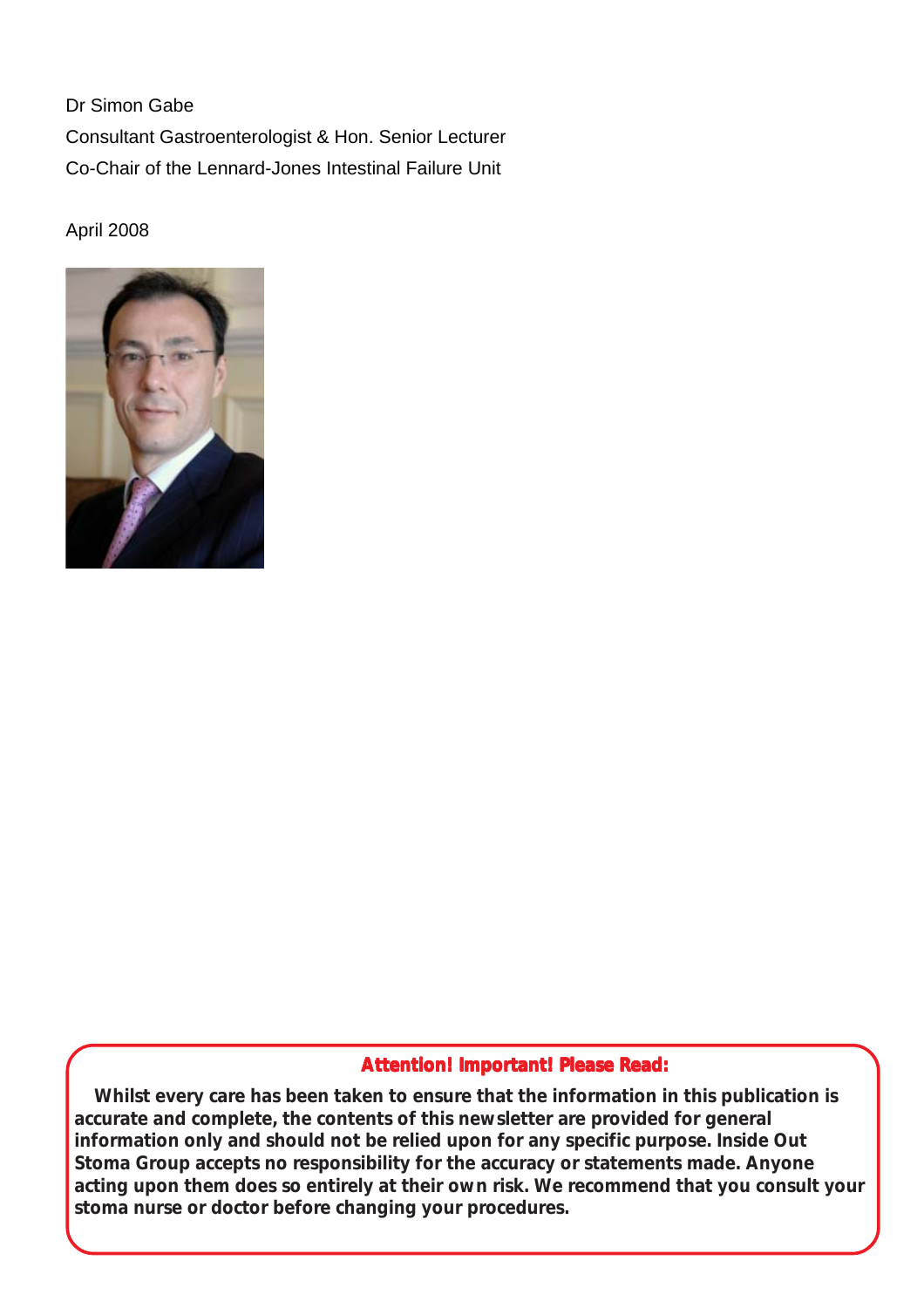Dr Simon Gabe Consultant Gastroenterologist & Hon. Senior Lecturer Co-Chair of the Lennard-Jones Intestinal Failure Unit

April 2008



#### **Attention! Important! Please Read: Attention! Important!**

**Whilst every care has been taken to ensure that the information in this publication is accurate and complete, the contents of this newsletter are provided for general information only and should not be relied upon for any specific purpose. Inside Out Stoma Group accepts no responsibility for the accuracy or statements made. Anyone acting upon them does so entirely at their own risk. We recommend that you consult your stoma nurse or doctor before changing your procedures.**